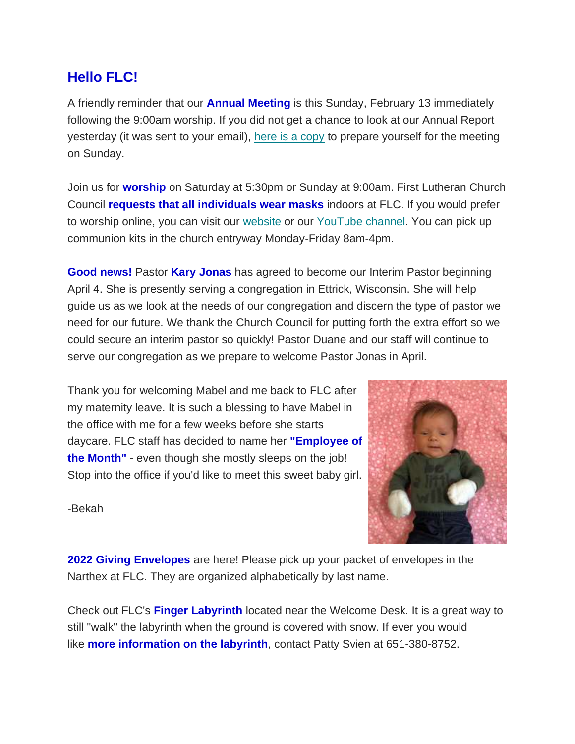## **Hello FLC!**

A friendly reminder that our **Annual Meeting** is this Sunday, February 13 immediately following the 9:00am worship. If you did not get a chance to look at our Annual Report yesterday (it was sent to your email), [here is a copy](https://mcusercontent.com/77c7c6d2c1cfcdf43b66ccb3d/files/1cc9e80e-da13-5c71-1446-934e4d2201ed/Annual_Report_2021.pdf) to prepare yourself for the meeting on Sunday.

Join us for **worship** on Saturday at 5:30pm or Sunday at 9:00am. First Lutheran Church Council **requests that all individuals wear masks** indoors at FLC. If you would prefer to worship online, you can visit our [website](https://www.firstlc.org/index.php?) or our [YouTube channel.](https://www.youtube.com/channel/UC9XdNg_hQSX1DHMunNI8WQw/featured) You can pick up communion kits in the church entryway Monday-Friday 8am-4pm.

**Good news!** Pastor **Kary Jonas** has agreed to become our Interim Pastor beginning April 4. She is presently serving a congregation in Ettrick, Wisconsin. She will help guide us as we look at the needs of our congregation and discern the type of pastor we need for our future. We thank the Church Council for putting forth the extra effort so we could secure an interim pastor so quickly! Pastor Duane and our staff will continue to serve our congregation as we prepare to welcome Pastor Jonas in April.

Thank you for welcoming Mabel and me back to FLC after my maternity leave. It is such a blessing to have Mabel in the office with me for a few weeks before she starts daycare. FLC staff has decided to name her **"Employee of the Month"** - even though she mostly sleeps on the job! Stop into the office if you'd like to meet this sweet baby girl.



-Bekah

**2022 Giving Envelopes** are here! Please pick up your packet of envelopes in the Narthex at FLC. They are organized alphabetically by last name.

Check out FLC's **Finger Labyrinth** located near the Welcome Desk. It is a great way to still "walk" the labyrinth when the ground is covered with snow. If ever you would like **more information on the labyrinth**, contact Patty Svien at 651-380-8752.